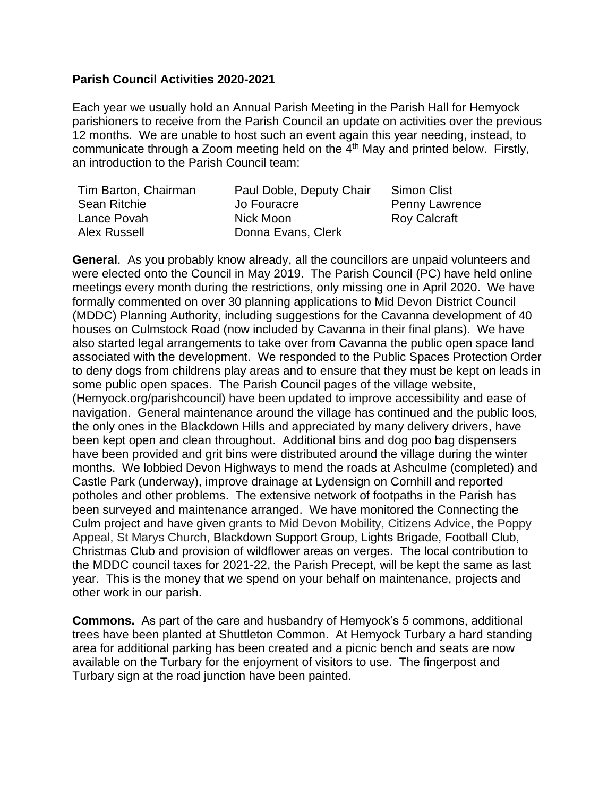## **Parish Council Activities 2020-2021**

Each year we usually hold an Annual Parish Meeting in the Parish Hall for Hemyock parishioners to receive from the Parish Council an update on activities over the previous 12 months. We are unable to host such an event again this year needing, instead, to communicate through a Zoom meeting held on the 4<sup>th</sup> May and printed below. Firstly, an introduction to the Parish Council team:

| Tim Barton, Chairman | Paul Doble, Deputy Chair | Simon Clist           |
|----------------------|--------------------------|-----------------------|
| Sean Ritchie         | Jo Fouracre              | <b>Penny Lawrence</b> |
| Lance Povah          | Nick Moon                | <b>Roy Calcraft</b>   |
| Alex Russell         | Donna Evans, Clerk       |                       |

**General**. As you probably know already, all the councillors are unpaid volunteers and were elected onto the Council in May 2019. The Parish Council (PC) have held online meetings every month during the restrictions, only missing one in April 2020. We have formally commented on over 30 planning applications to Mid Devon District Council (MDDC) Planning Authority, including suggestions for the Cavanna development of 40 houses on Culmstock Road (now included by Cavanna in their final plans). We have also started legal arrangements to take over from Cavanna the public open space land associated with the development. We responded to the Public Spaces Protection Order to deny dogs from childrens play areas and to ensure that they must be kept on leads in some public open spaces. The Parish Council pages of the village website, (Hemyock.org/parishcouncil) have been updated to improve accessibility and ease of navigation. General maintenance around the village has continued and the public loos, the only ones in the Blackdown Hills and appreciated by many delivery drivers, have been kept open and clean throughout. Additional bins and dog poo bag dispensers have been provided and grit bins were distributed around the village during the winter months. We lobbied Devon Highways to mend the roads at Ashculme (completed) and Castle Park (underway), improve drainage at Lydensign on Cornhill and reported potholes and other problems. The extensive network of footpaths in the Parish has been surveyed and maintenance arranged. We have monitored the Connecting the Culm project and have given grants to Mid Devon Mobility, Citizens Advice, the Poppy Appeal, St Marys Church, Blackdown Support Group, Lights Brigade, Football Club, Christmas Club and provision of wildflower areas on verges. The local contribution to the MDDC council taxes for 2021-22, the Parish Precept, will be kept the same as last year. This is the money that we spend on your behalf on maintenance, projects and other work in our parish.

**Commons.** As part of the care and husbandry of Hemyock's 5 commons, additional trees have been planted at Shuttleton Common. At Hemyock Turbary a hard standing area for additional parking has been created and a picnic bench and seats are now available on the Turbary for the enjoyment of visitors to use. The fingerpost and Turbary sign at the road junction have been painted.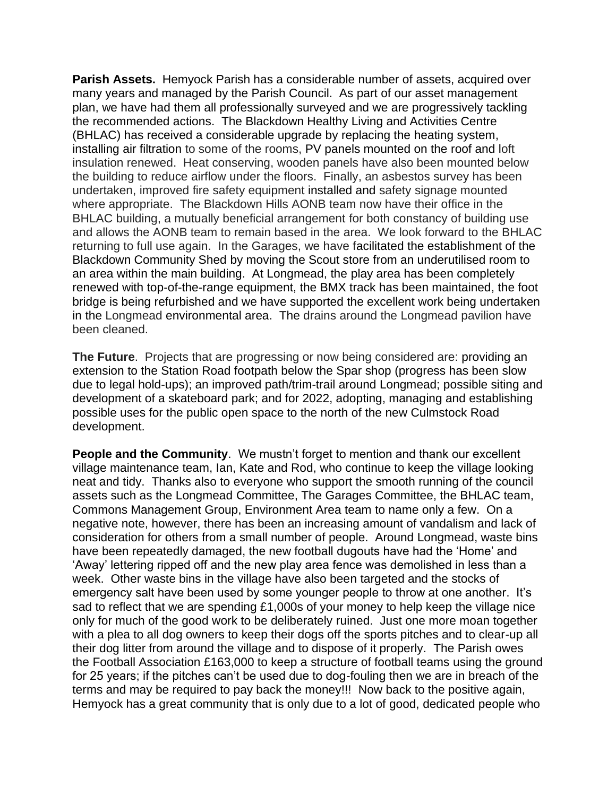**Parish Assets.** Hemyock Parish has a considerable number of assets, acquired over many years and managed by the Parish Council. As part of our asset management plan, we have had them all professionally surveyed and we are progressively tackling the recommended actions. The Blackdown Healthy Living and Activities Centre (BHLAC) has received a considerable upgrade by replacing the heating system, installing air filtration to some of the rooms, PV panels mounted on the roof and loft insulation renewed. Heat conserving, wooden panels have also been mounted below the building to reduce airflow under the floors. Finally, an asbestos survey has been undertaken, improved fire safety equipment installed and safety signage mounted where appropriate. The Blackdown Hills AONB team now have their office in the BHLAC building, a mutually beneficial arrangement for both constancy of building use and allows the AONB team to remain based in the area. We look forward to the BHLAC returning to full use again. In the Garages, we have facilitated the establishment of the Blackdown Community Shed by moving the Scout store from an underutilised room to an area within the main building. At Longmead, the play area has been completely renewed with top-of-the-range equipment, the BMX track has been maintained, the foot bridge is being refurbished and we have supported the excellent work being undertaken in the Longmead environmental area. The drains around the Longmead pavilion have been cleaned.

**The Future**. Projects that are progressing or now being considered are: providing an extension to the Station Road footpath below the Spar shop (progress has been slow due to legal hold-ups); an improved path/trim-trail around Longmead; possible siting and development of a skateboard park; and for 2022, adopting, managing and establishing possible uses for the public open space to the north of the new Culmstock Road development.

**People and the Community**. We mustn't forget to mention and thank our excellent village maintenance team, Ian, Kate and Rod, who continue to keep the village looking neat and tidy. Thanks also to everyone who support the smooth running of the council assets such as the Longmead Committee, The Garages Committee, the BHLAC team, Commons Management Group, Environment Area team to name only a few. On a negative note, however, there has been an increasing amount of vandalism and lack of consideration for others from a small number of people. Around Longmead, waste bins have been repeatedly damaged, the new football dugouts have had the 'Home' and 'Away' lettering ripped off and the new play area fence was demolished in less than a week. Other waste bins in the village have also been targeted and the stocks of emergency salt have been used by some younger people to throw at one another. It's sad to reflect that we are spending £1,000s of your money to help keep the village nice only for much of the good work to be deliberately ruined. Just one more moan together with a plea to all dog owners to keep their dogs off the sports pitches and to clear-up all their dog litter from around the village and to dispose of it properly. The Parish owes the Football Association £163,000 to keep a structure of football teams using the ground for 25 years; if the pitches can't be used due to dog-fouling then we are in breach of the terms and may be required to pay back the money!!! Now back to the positive again, Hemyock has a great community that is only due to a lot of good, dedicated people who